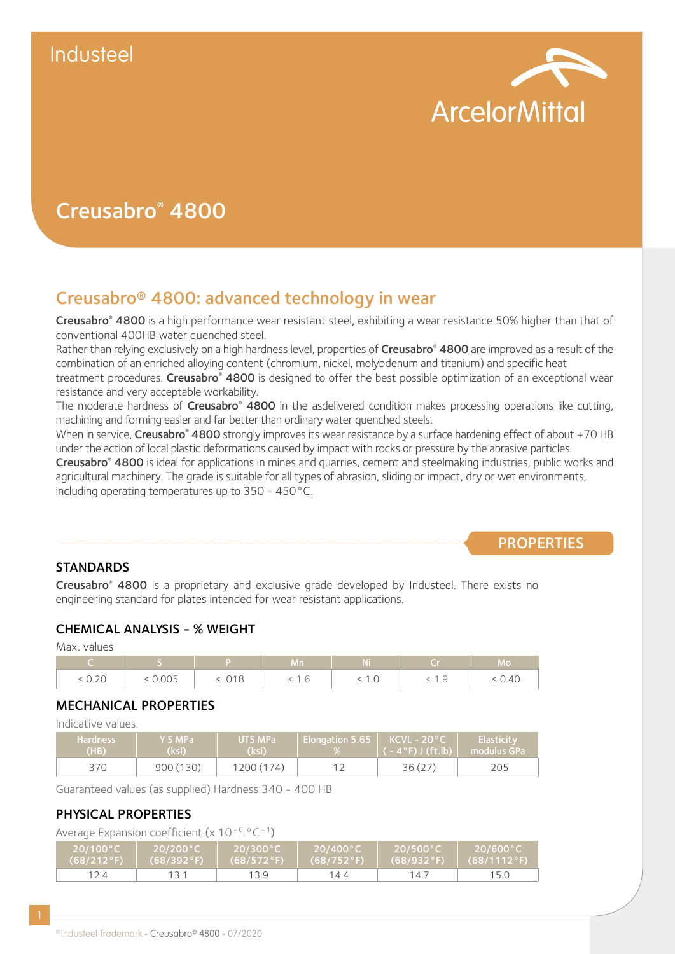

# Creusabro® 4800

# Creusabro® 4800: advanced technology in wear

Creusabro<sup>®</sup> 4800 is a high performance wear resistant steel, exhibiting a wear resistance 50% higher than that of conventional 400HB water quenched steel.

Rather than relying exclusively on a high hardness level, properties of Creusabro<sup>®</sup> 4800 are improved as a result of the combination of an enriched alloying content (chromium, nickel, molybdenum and titanium) and specific heat

treatment procedures. Creusabro<sup>®</sup> 4800 is designed to offer the best possible optimization of an exceptional wear resistance and very acceptable workability.

The moderate hardness of Creusabro<sup>®</sup> 4800 in the asdelivered condition makes processing operations like cutting, machining and forming easier and far better than ordinary water quenched steels.

When in service, Creusabro® 4800 strongly improves its wear resistance by a surface hardening effect of about +70 HB under the action of local plastic deformations caused by impact with rocks or pressure by the abrasive particles.

Creusabro® 4800 is ideal for applications in mines and quarries, cement and steelmaking industries, public works and agricultural machinery. The grade is suitable for all types of abrasion, sliding or impact, dry or wet environments, including operating temperatures up to 350 - 450°C.

# **PROPERTIES**

# **STANDARDS**

Creusabro<sup>®</sup> 4800 is a proprietary and exclusive grade developed by Industeel. There exists no engineering standard for plates intended for wear resistant applications.

## CHEMICAL ANALYSIS - % WEIGHT

Max. values

|             |              | v pr        | / Mn       | <b>Allen Niz</b> | <b>Critical</b> Critical | Mo          |
|-------------|--------------|-------------|------------|------------------|--------------------------|-------------|
| $\leq 0.20$ | $\leq 0.005$ | $\leq .018$ | $\leq 1.6$ | $\leq 1.0$       | $\leq 1.9$               | $\leq 0.40$ |

## MECHANICAL PROPERTIES

Indicative values.

| ∕ Hardness<br>(HB) | Y S MPa<br>(ksi). | UTS MPa<br>(ksi) | $\parallel$ Elongation 5.65 $\parallel$ KCVL - 20°C $\parallel$ | $($ ( - 4 $\degree$ F) J (ft.1b) $\parallel$ modulus GPa | 'Elasticitv |
|--------------------|-------------------|------------------|-----------------------------------------------------------------|----------------------------------------------------------|-------------|
| 370                | 900(130)          | 1200 (174)       |                                                                 | 36(27)                                                   | 205         |

Guaranteed values (as supplied) Hardness 340 - 400 HB

## PHYSICAL PROPERTIES

Average Expansion coefficient  $(x 10^{-6}$ . °C $-1)$ 

| $20/100\degree$ C | $20/200\degree$ C | $20/300\degree$ C | ا 20/400°C             | $\sqrt{20/500}$ °C | ⊾20/600°C'      |
|-------------------|-------------------|-------------------|------------------------|--------------------|-----------------|
| $(68/212)$ °F)    | (68/392°F)        | (68/572°F)        | $(68/752\,^{\circ}$ F) | (68/932°F)         | $(68/1112)$ °F) |
|                   |                   |                   | 14.4                   | 14.7               | 15.0            |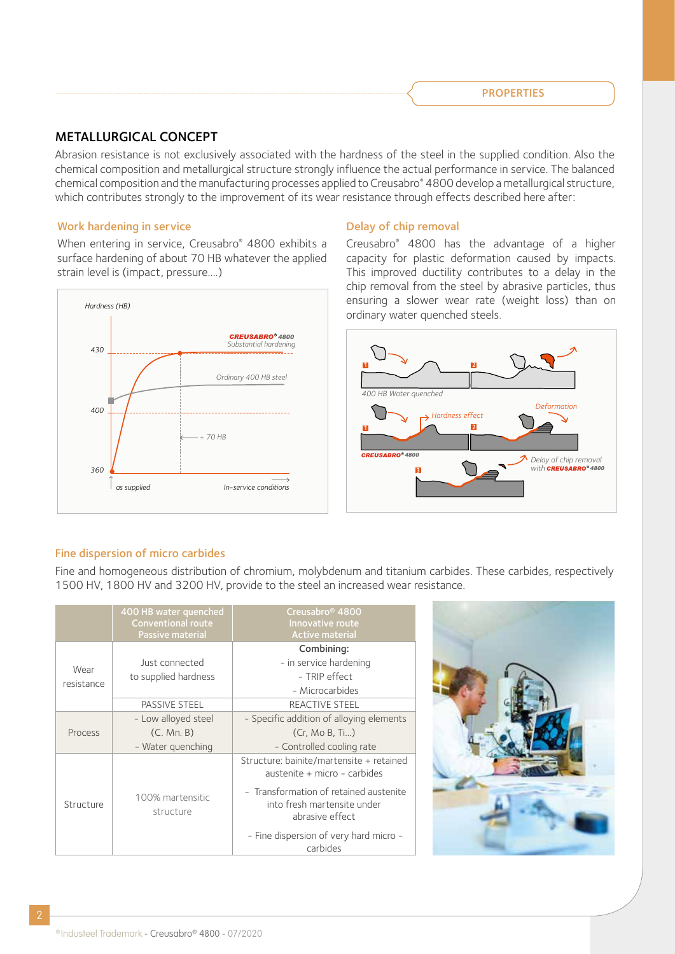**PROPERTIES** 

# METALLURGICAL CONCEPT

Abrasion resistance is not exclusively associated with the hardness of the steel in the supplied condition. Also the chemical composition and metallurgical structure strongly influence the actual performance in service. The balanced chemical composition and the manufacturing processes applied to Creusabro® 4800 develop a metallurgical structure, which contributes strongly to the improvement of its wear resistance through effects described here after:

#### Work hardening in service

When entering in service, Creusabro® 4800 exhibits a surface hardening of about 70 HB whatever the applied strain level is (impact, pressure….)



#### Delay of chip removal

Creusabro® 4800 has the advantage of a higher capacity for plastic deformation caused by impacts. This improved ductility contributes to a delay in the chip removal from the steel by abrasive particles, thus ensuring a slower wear rate (weight loss) than on ordinary water quenched steels.



#### Fine dispersion of micro carbides

Fine and homogeneous distribution of chromium, molybdenum and titanium carbides. These carbides, respectively 1500 HV, 1800 HV and 3200 HV, provide to the steel an increased wear resistance.

|            | 400 HB water quenched<br><b>Conventional route</b><br><b>Passive material</b> | Creusabro <sup>®</sup> 4800<br><b>Innovative route</b><br><b>Active material</b>         |  |
|------------|-------------------------------------------------------------------------------|------------------------------------------------------------------------------------------|--|
|            |                                                                               | Combining:                                                                               |  |
| Wear       | Just connected                                                                | - in service hardening                                                                   |  |
| resistance | to supplied hardness                                                          | - TRIP effect                                                                            |  |
|            |                                                                               | - Microcarbides                                                                          |  |
|            | <b>PASSIVE STEEL</b>                                                          | <b>REACTIVE STEEL</b>                                                                    |  |
|            | - Low alloyed steel                                                           | - Specific addition of alloying elements                                                 |  |
| Process    | (C. Mn. B)                                                                    | (Cr, Mo B, Ti)                                                                           |  |
|            | - Water quenching                                                             | - Controlled cooling rate                                                                |  |
|            |                                                                               | Structure: bainite/martensite + retained<br>austenite + micro - carbides                 |  |
| Structure  | 100% martensitic<br>structure                                                 | - Transformation of retained austenite<br>into fresh martensite under<br>abrasive effect |  |
|            |                                                                               | - Fine dispersion of very hard micro -<br>carbides                                       |  |

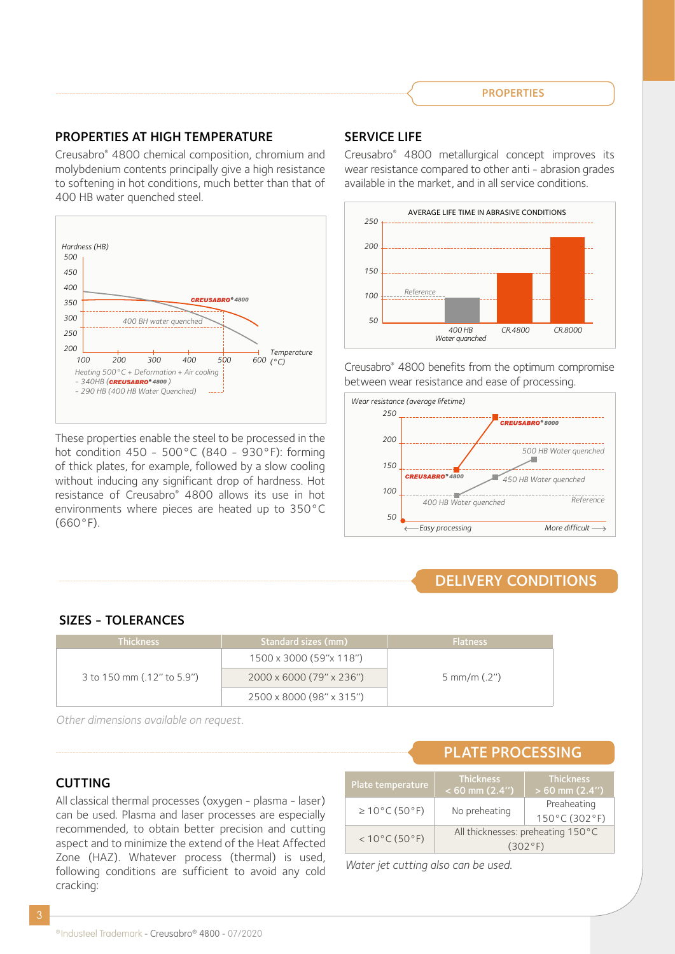### PROPERTIES AT HIGH TEMPERATURE

Creusabro® 4800 chemical composition, chromium and molybdenium contents principally give a high resistance to softening in hot conditions, much better than that of 400 HB water quenched steel.



These properties enable the steel to be processed in the hot condition 450 - 500°C (840 - 930°F): forming of thick plates, for example, followed by a slow cooling without inducing any significant drop of hardness. Hot resistance of Creusabro® 4800 allows its use in hot environments where pieces are heated up to 350°C (660°F).

### SERVICE LIFE

Creusabro® 4800 metallurgical concept improves its wear resistance compared to other anti - abrasion grades available in the market, and in all service conditions.



Creusabro® 4800 benefits from the optimum compromise between wear resistance and ease of processing.



# DELIVERY CONDITIONS

#### SIZES - TOLERANCES

| <b>Thickness</b>           | Standard sizes (mm)      | <b>Flatness</b> |  |
|----------------------------|--------------------------|-----------------|--|
|                            | 1500 x 3000 (59"x 118")  |                 |  |
| 3 to 150 mm (.12" to 5.9") | 2000 x 6000 (79" x 236") | 5 mm/m $(.2")$  |  |
|                            | 2500 x 8000 (98" x 315") |                 |  |

*Other dimensions available on request.*

#### CUTTING

All classical thermal processes (oxygen - plasma - laser) can be used. Plasma and laser processes are especially recommended, to obtain better precision and cutting aspect and to minimize the extend of the Heat Affected Zone (HAZ). Whatever process (thermal) is used, following conditions are sufficient to avoid any cold cracking:

# PLATE PROCESSING

| Plate temperature          | <b>Thickness</b><br>$< 60$ mm $(2.4'')$      | <b>Thickness</b><br>$> 60$ mm (2.4") |
|----------------------------|----------------------------------------------|--------------------------------------|
| $\geq 10^{\circ}$ C (50°F) | No preheating                                | Preaheating<br>150°C (302°F)         |
| $< 10^{\circ}$ C (50°F)    | All thicknesses: preheating 150°C<br>(302°F) |                                      |

*Water jet cutting also can be used.*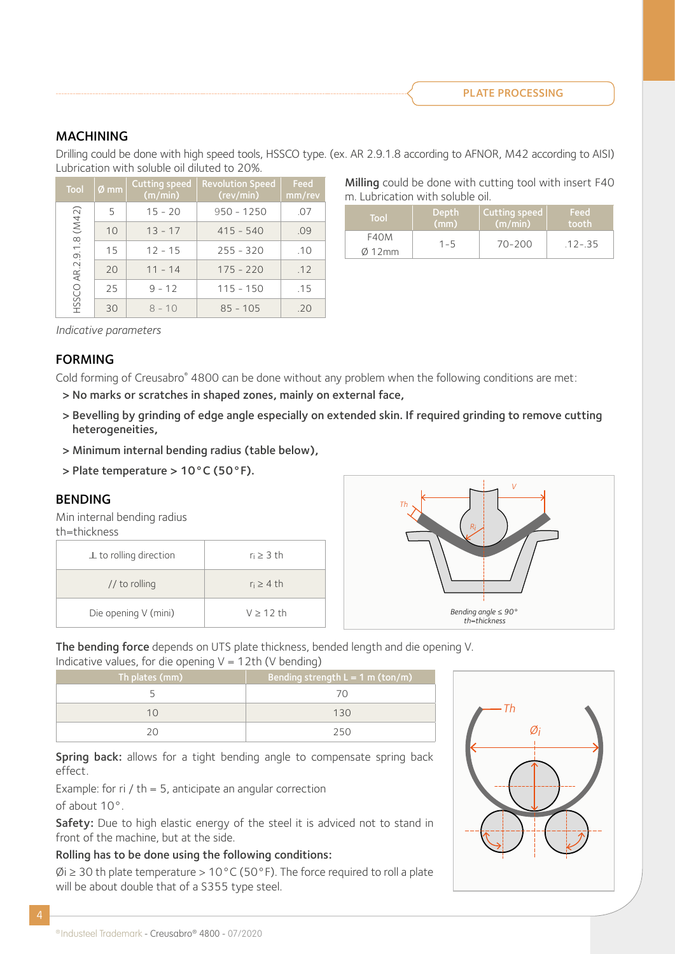PLATE PROCESSING

# MACHINING

Drilling could be done with high speed tools, HSSCO type. (ex. AR 2.9.1.8 according to AFNOR, M42 according to AISI) Lubrication with soluble oil diluted to 20%.

| Tool             | $\varnothing$ mm | <b>Cutting speed</b><br>(m/min) | <b>Revolution Speed</b><br>(rev/min) | Feed<br>mm/rev |
|------------------|------------------|---------------------------------|--------------------------------------|----------------|
| (M42)            | 5                | $15 - 20$                       | $950 - 1250$                         | .07            |
|                  | 10               | $13 - 17$                       | $415 - 540$                          | .09            |
|                  | 15               | $12 - 15$                       | $255 - 320$                          | .10            |
| HSSCO AR.2.9.1.8 | 20               | $11 - 14$                       | $175 - 220$                          | .12            |
|                  | 25               | $9 - 12$                        | $115 - 150$                          | .15            |
|                  | 30               | $8 - 10$                        | $85 - 105$                           | .20            |

Milling could be done with cutting tool with insert F40 m. Lubrication with soluble oil.

| Tool             | <b>Depth</b><br>(mm) | Cutting speed<br>(m/min) | <b>Feed</b><br>tooth. |
|------------------|----------------------|--------------------------|-----------------------|
| F40M             | $1 - 5$              | $70 - 200$               | $.12 - .35$           |
| $\emptyset$ 12mm |                      |                          |                       |

|  | Indicative parameters |
|--|-----------------------|
|--|-----------------------|

#### FORMING

Cold forming of Creusabro® 4800 can be done without any problem when the following conditions are met:

- > No marks or scratches in shaped zones, mainly on external face,
- > Bevelling by grinding of edge angle especially on extended skin. If required grinding to remove cutting heterogeneities,
- > Minimum internal bending radius (table below),
- > Plate temperature > 10°C (50°F).

## BENDING

Min internal bending radius  $t = t$ 

| th=thickness                 |                |  |  |  |
|------------------------------|----------------|--|--|--|
| $\perp$ to rolling direction | $ri \geq 3$ th |  |  |  |
| $\frac{1}{1}$ to rolling     | $ri \geq 4$ th |  |  |  |
| Die opening V (mini)         | $V \geq 12$ th |  |  |  |



The bending force depends on UTS plate thickness, bended length and die opening V. Indicative values, for die opening  $V = 12$ th (V bending)

| Th plates (mm) | Bending strength $L = 1$ m (ton/m) |
|----------------|------------------------------------|
|                |                                    |
|                | 130                                |
|                | 250                                |

Spring back: allows for a tight bending angle to compensate spring back effect.

Example: for  $ri / th = 5$ , anticipate an angular correction

of about 10°.

Safety: Due to high elastic energy of the steel it is adviced not to stand in front of the machine, but at the side.

#### Rolling has to be done using the following conditions:

Øi ≥ 30 th plate temperature > 10°C (50°F). The force required to roll a plate will be about double that of a S355 type steel.

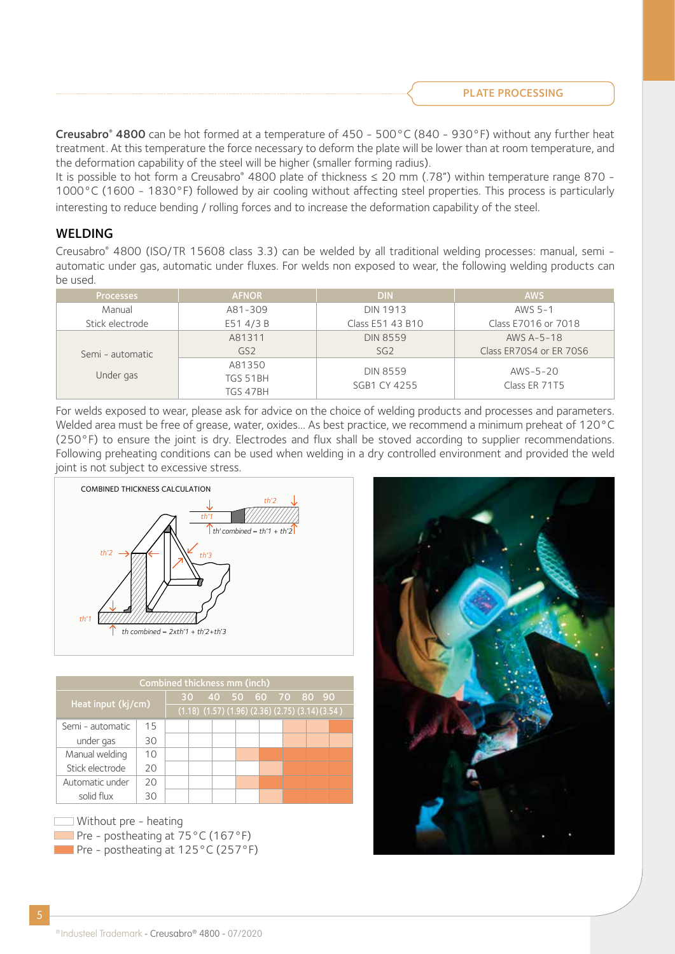Creusabro<sup>®</sup> 4800 can be hot formed at a temperature of 450 - 500°C (840 - 930°F) without any further heat treatment. At this temperature the force necessary to deform the plate will be lower than at room temperature, and the deformation capability of the steel will be higher (smaller forming radius).

It is possible to hot form a Creusabro® 4800 plate of thickness ≤ 20 mm (.78") within temperature range 870 -1000°C (1600 - 1830°F) followed by air cooling without affecting steel properties. This process is particularly interesting to reduce bending / rolling forces and to increase the deformation capability of the steel.

## WELDING

Creusabro® 4800 (ISO/TR 15608 class 3.3) can be welded by all traditional welding processes: manual, semi automatic under gas, automatic under fluxes. For welds non exposed to wear, the following welding products can be used.

| <b>Processes</b> | <b>AFNOR</b>    | DIN.             | <b>AWS</b>              |
|------------------|-----------------|------------------|-------------------------|
| Manual           | A81-309         | <b>DIN 1913</b>  | AWS 5-1                 |
| Stick electrode  | E51 4/3 B       | Class E51 43 B10 | Class E7016 or 7018     |
|                  | A81311          | <b>DIN 8559</b>  | AWS $A-5-18$            |
| Semi - automatic | GS <sub>2</sub> | SG <sub>2</sub>  | Class ER70S4 or ER 70S6 |
|                  | A81350          | <b>DIN 8559</b>  | $AWS-5-20$              |
| Under gas        | TGS 51BH        | SGB1 CY 4255     | Class ER 71T5           |
|                  | TGS 47BH        |                  |                         |

For welds exposed to wear, please ask for advice on the choice of welding products and processes and parameters. Welded area must be free of grease, water, oxides… As best practice, we recommend a minimum preheat of 120°C (250°F) to ensure the joint is dry. Electrodes and flux shall be stoved according to supplier recommendations. Following preheating conditions can be used when welding in a dry controlled environment and provided the weld joint is not subject to excessive stress.



| Combined thickness mm (inch) |    |  |  |  |  |                                                                |  |  |  |
|------------------------------|----|--|--|--|--|----------------------------------------------------------------|--|--|--|
| Heat input (kj/cm)           |    |  |  |  |  | 30 40 50 60 70 80 90                                           |  |  |  |
|                              |    |  |  |  |  | $(1.18)$ $(1.57)$ $(1.96)$ $(2.36)$ $(2.75)$ $(3.14)$ $(3.54)$ |  |  |  |
| Semi - automatic             | 15 |  |  |  |  |                                                                |  |  |  |
| under gas                    | 30 |  |  |  |  |                                                                |  |  |  |
| Manual welding               | 10 |  |  |  |  |                                                                |  |  |  |
| Stick electrode              | 20 |  |  |  |  |                                                                |  |  |  |
| Automatic under              | 20 |  |  |  |  |                                                                |  |  |  |
| solid flux                   | 30 |  |  |  |  |                                                                |  |  |  |

Without pre - heating **Pre** - postheating at  $75^{\circ}$ C (167°F) **Pre** - postheating at  $125^{\circ}$ C (257°F)